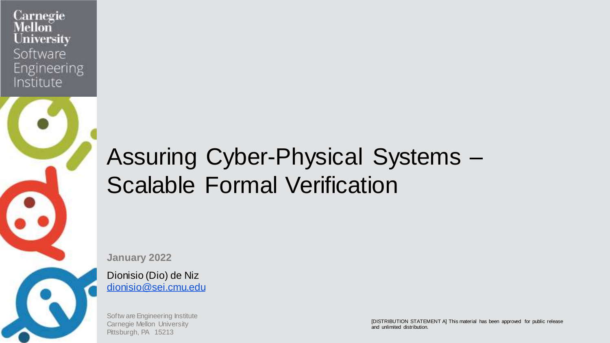

# Assuring Cyber-Physical Systems – Scalable Formal Verification

**January 2022**

Dionisio (Dio) de Niz [dionisio@sei.cmu.edu](mailto:dionisio@sei.cmu.edu)

Softw are Engineering Institute Carnegie Mellon University Pittsburgh, PA 15213

**EXTRIBUTION STATEMENT AND STATEMENT AND ALCOHOL** FOR PUBLIC RELEASE AND A THIS MATERIAL RELEASE AND A THIS MATERIAL RELEASE AND A THIS MATERIAL RELEASE AND A THIS MATERIAL RELEASE AND A THIS MATERIAL RELEASE AND A THIS MA [DISTRIBUTION STATEMENT A] This material has been approved for public release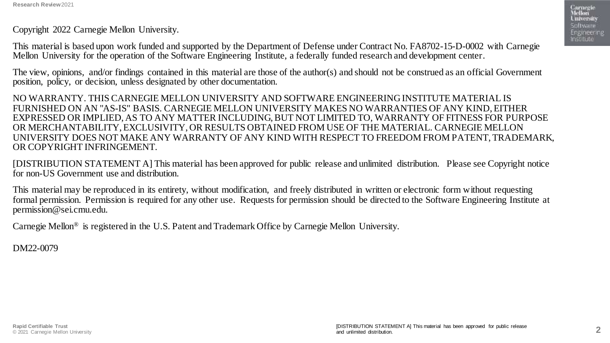Copyright 2022 Carnegie Mellon University.

This material is based upon work funded and supported by the Department of Defense under Contract No. FA8702-15-D-0002 with Carnegie Mellon University for the operation of the Software Engineering Institute, a federally funded research and development center.

The view, opinions, and/or findings contained in this material are those of the author(s) and should not be construed as an official Government position, policy, or decision, unless designated by other documentation.

NO WARRANTY. THIS CARNEGIE MELLON UNIVERSITY AND SOFTWARE ENGINEERING INSTITUTE MATERIAL IS FURNISHED ON AN "AS-IS" BASIS. CARNEGIE MELLON UNIVERSITY MAKES NO WARRANTIES OF ANY KIND, EITHER EXPRESSED OR IMPLIED, AS TO ANY MATTER INCLUDING, BUT NOT LIMITED TO, WARRANTY OF FITNESS FOR PURPOSE OR MERCHANTABILITY, EXCLUSIVITY, OR RESULTS OBTAINED FROM USE OF THE MATERIAL. CARNEGIE MELLON UNIVERSITY DOES NOT MAKE ANY WARRANTY OF ANY KIND WITH RESPECT TO FREEDOM FROM PATENT, TRADEMARK, OR COPYRIGHT INFRINGEMENT.

[DISTRIBUTION STATEMENT A] This material has been approved for public release and unlimited distribution. Please see Copyright notice for non-US Government use and distribution.

This material may be reproduced in its entirety, without modification, and freely distributed in written or electronic form without requesting formal permission. Permission is required for any other use. Requests for permission should be directed to the Software Engineering Institute at permission@sei.cmu.edu.

Carnegie Mellon® is registered in the U.S. Patent and Trademark Office by Carnegie Mellon University.

DM22-0079

Carmegie<br>Mellon **University** Software Engineering Institute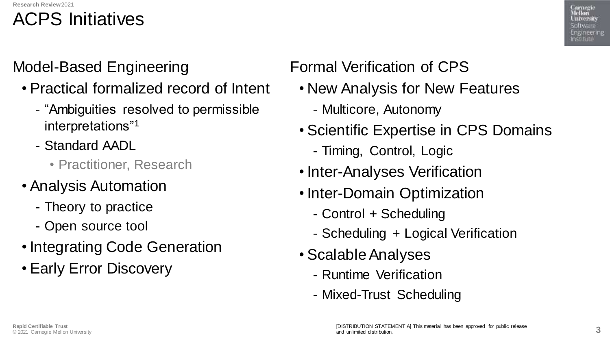### ACPS Initiatives

Model-Based Engineering

- Practical formalized record of Intent
	- "Ambiguities resolved to permissible interpretations"<sup>1</sup>
	- Standard AADL
		- Practitioner, Research
- Analysis Automation
	- Theory to practice
	- Open source tool
- Integrating Code Generation
- Early Error Discovery

Formal Verification of CPS

- New Analysis for New Features
	- Multicore, Autonomy
- Scientific Expertise in CPS Domains
	- Timing, Control, Logic
- Inter-Analyses Verification
- Inter-Domain Optimization
	- Control + Scheduling
	- Scheduling + Logical Verification
- Scalable Analyses
	- Runtime Verification
	- Mixed-Trust Scheduling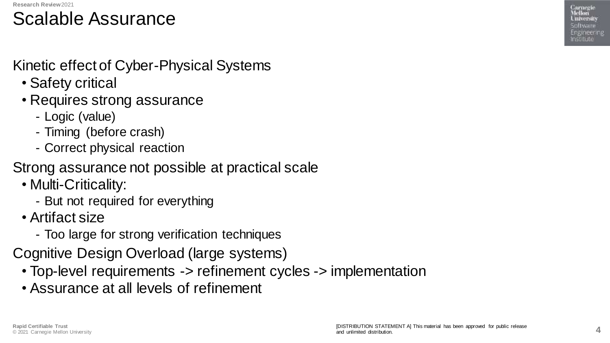### Scalable Assurance

#### Kinetic effect of Cyber-Physical Systems

- Safety critical
- Requires strong assurance
	- Logic (value)
	- Timing (before crash)
	- Correct physical reaction
- Strong assurance not possible at practical scale
	- Multi-Criticality:
		- But not required for everything
	- Artifact size
		- Too large for strong verification techniques
- Cognitive Design Overload (large systems)
	- Top-level requirements -> refinement cycles -> implementation
	- Assurance at all levels of refinement

Carnegie Mellon University Spitware Engineering nssitute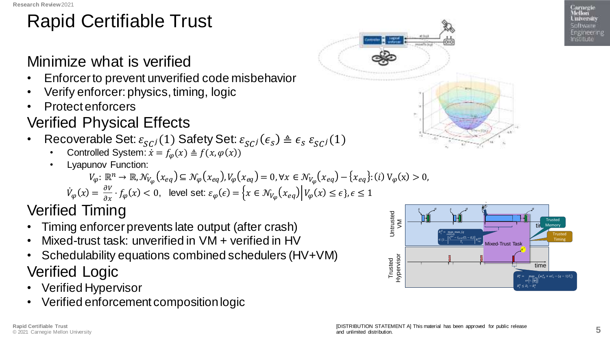# Rapid Certifiable Trust

#### Minimize what is verified

- Enforcer to prevent unverified code misbehavior
- Verify enforcer: physics, timing, logic
- Protect enforcers

#### Verified Physical Effects

- Recoverable Set:  $\varepsilon_{SC}(1)$  Safety Set:  $\varepsilon_{SC}( \epsilon_{s} ) \triangleq \epsilon_{S} \, \varepsilon_{SC}(1)$ 
	- Controlled System:  $\dot{x} = f_{\omega}(x) \triangleq f(x, \varphi(x))$
	- Lyapunov Function:

$$
V_{\varphi} \colon \mathbb{R}^n \to \mathbb{R}, \mathcal{N}_{V_{\varphi}}(x_{eq}) \subseteq \mathcal{N}_{\varphi}(x_{eq}), V_{\varphi}(x_{eq}) = 0, \forall x \in \mathcal{N}_{V_{\varphi}}(x_{eq}) - \{x_{eq}\}: (i) \vee_{\varphi}(x) > 0
$$

$$
\dot{V}_{\varphi}(x) = \frac{\partial V}{\partial x} \cdot f_{\varphi}(x) < 0, \quad \text{level set: } \varepsilon_{\varphi}(\epsilon) = \left\{ x \in \mathcal{N}_{V_{\varphi}}(x_{eq}) \, \middle| \, V_{\varphi}(x) \le \epsilon \right\}, \epsilon \le 1
$$

Verified Timing

- Timing enforcer prevents late output (after crash)
- Mixed-trust task: unverified in VM + verified in HV
- Schedulability equations combined schedulers (HV+VM) Verified Logic
- Verified Hypervisor
- Verified enforcement composition logic





 $\overline{a}$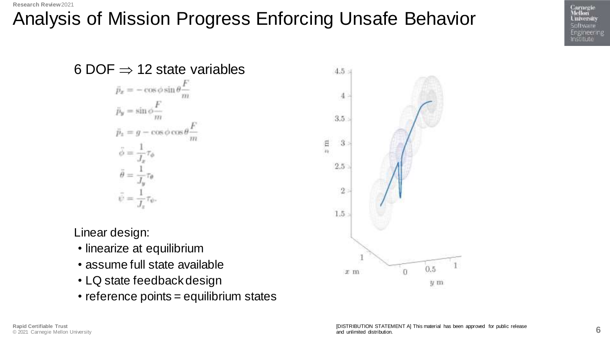# Analysis of Mission Progress Enforcing Unsafe Behavior

6 DOF  $\Rightarrow$  12 state variables  $\vec{p}_x = -\cos\phi\sin\theta \ddot{p}_y = \sin \phi$  $\bar{p}_r = q - \cos \phi \cos$  $\phi =$  $\theta =$  $\ddot{\psi} = \frac{1}{J_z} \tau_{\psi}.$ 

Linear design:

- linearize at equilibrium
- assume full state available
- LQ state feedback design
- reference points = equilibrium states



Carnegie<br>Mellon **University** Software Engineering **nssitute**